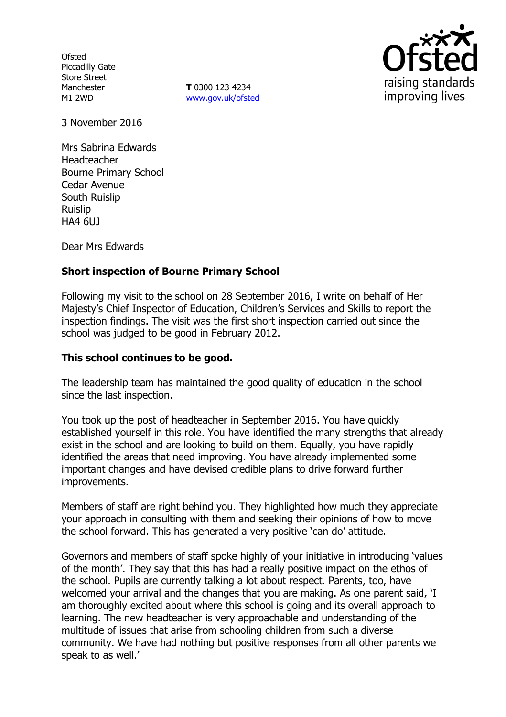**Ofsted** Piccadilly Gate Store Street Manchester M1 2WD

**T** 0300 123 4234 www.gov.uk/ofsted



3 November 2016

Mrs Sabrina Edwards Headteacher Bourne Primary School Cedar Avenue South Ruislip Ruislip HA4 6UJ

Dear Mrs Edwards

# **Short inspection of Bourne Primary School**

Following my visit to the school on 28 September 2016, I write on behalf of Her Majesty's Chief Inspector of Education, Children's Services and Skills to report the inspection findings. The visit was the first short inspection carried out since the school was judged to be good in February 2012.

### **This school continues to be good.**

The leadership team has maintained the good quality of education in the school since the last inspection.

You took up the post of headteacher in September 2016. You have quickly established yourself in this role. You have identified the many strengths that already exist in the school and are looking to build on them. Equally, you have rapidly identified the areas that need improving. You have already implemented some important changes and have devised credible plans to drive forward further improvements.

Members of staff are right behind you. They highlighted how much they appreciate your approach in consulting with them and seeking their opinions of how to move the school forward. This has generated a very positive 'can do' attitude.

Governors and members of staff spoke highly of your initiative in introducing 'values of the month'. They say that this has had a really positive impact on the ethos of the school. Pupils are currently talking a lot about respect. Parents, too, have welcomed your arrival and the changes that you are making. As one parent said, 'I am thoroughly excited about where this school is going and its overall approach to learning. The new headteacher is very approachable and understanding of the multitude of issues that arise from schooling children from such a diverse community. We have had nothing but positive responses from all other parents we speak to as well.'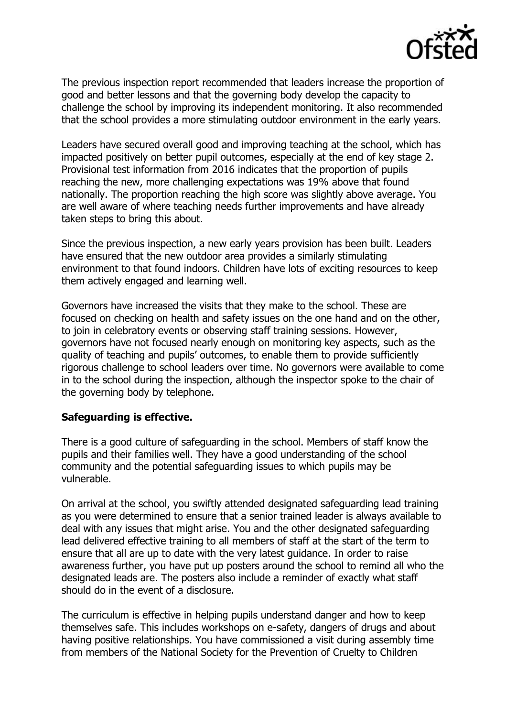

The previous inspection report recommended that leaders increase the proportion of good and better lessons and that the governing body develop the capacity to challenge the school by improving its independent monitoring. It also recommended that the school provides a more stimulating outdoor environment in the early years.

Leaders have secured overall good and improving teaching at the school, which has impacted positively on better pupil outcomes, especially at the end of key stage 2. Provisional test information from 2016 indicates that the proportion of pupils reaching the new, more challenging expectations was 19% above that found nationally. The proportion reaching the high score was slightly above average. You are well aware of where teaching needs further improvements and have already taken steps to bring this about.

Since the previous inspection, a new early years provision has been built. Leaders have ensured that the new outdoor area provides a similarly stimulating environment to that found indoors. Children have lots of exciting resources to keep them actively engaged and learning well.

Governors have increased the visits that they make to the school. These are focused on checking on health and safety issues on the one hand and on the other, to join in celebratory events or observing staff training sessions. However, governors have not focused nearly enough on monitoring key aspects, such as the quality of teaching and pupils' outcomes, to enable them to provide sufficiently rigorous challenge to school leaders over time. No governors were available to come in to the school during the inspection, although the inspector spoke to the chair of the governing body by telephone.

#### **Safeguarding is effective.**

There is a good culture of safeguarding in the school. Members of staff know the pupils and their families well. They have a good understanding of the school community and the potential safeguarding issues to which pupils may be vulnerable.

On arrival at the school, you swiftly attended designated safeguarding lead training as you were determined to ensure that a senior trained leader is always available to deal with any issues that might arise. You and the other designated safeguarding lead delivered effective training to all members of staff at the start of the term to ensure that all are up to date with the very latest guidance. In order to raise awareness further, you have put up posters around the school to remind all who the designated leads are. The posters also include a reminder of exactly what staff should do in the event of a disclosure.

The curriculum is effective in helping pupils understand danger and how to keep themselves safe. This includes workshops on e-safety, dangers of drugs and about having positive relationships. You have commissioned a visit during assembly time from members of the National Society for the Prevention of Cruelty to Children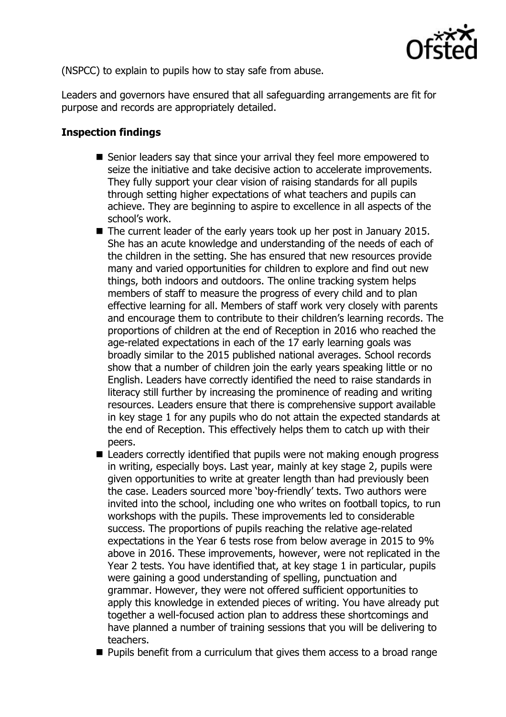

(NSPCC) to explain to pupils how to stay safe from abuse.

Leaders and governors have ensured that all safeguarding arrangements are fit for purpose and records are appropriately detailed.

# **Inspection findings**

- Senior leaders say that since your arrival they feel more empowered to seize the initiative and take decisive action to accelerate improvements. They fully support your clear vision of raising standards for all pupils through setting higher expectations of what teachers and pupils can achieve. They are beginning to aspire to excellence in all aspects of the school's work.
- The current leader of the early years took up her post in January 2015. She has an acute knowledge and understanding of the needs of each of the children in the setting. She has ensured that new resources provide many and varied opportunities for children to explore and find out new things, both indoors and outdoors. The online tracking system helps members of staff to measure the progress of every child and to plan effective learning for all. Members of staff work very closely with parents and encourage them to contribute to their children's learning records. The proportions of children at the end of Reception in 2016 who reached the age-related expectations in each of the 17 early learning goals was broadly similar to the 2015 published national averages. School records show that a number of children join the early years speaking little or no English. Leaders have correctly identified the need to raise standards in literacy still further by increasing the prominence of reading and writing resources. Leaders ensure that there is comprehensive support available in key stage 1 for any pupils who do not attain the expected standards at the end of Reception. This effectively helps them to catch up with their peers.
- Leaders correctly identified that pupils were not making enough progress in writing, especially boys. Last year, mainly at key stage 2, pupils were given opportunities to write at greater length than had previously been the case. Leaders sourced more 'boy-friendly' texts. Two authors were invited into the school, including one who writes on football topics, to run workshops with the pupils. These improvements led to considerable success. The proportions of pupils reaching the relative age-related expectations in the Year 6 tests rose from below average in 2015 to 9% above in 2016. These improvements, however, were not replicated in the Year 2 tests. You have identified that, at key stage 1 in particular, pupils were gaining a good understanding of spelling, punctuation and grammar. However, they were not offered sufficient opportunities to apply this knowledge in extended pieces of writing. You have already put together a well-focused action plan to address these shortcomings and have planned a number of training sessions that you will be delivering to teachers.
- $\blacksquare$  Pupils benefit from a curriculum that gives them access to a broad range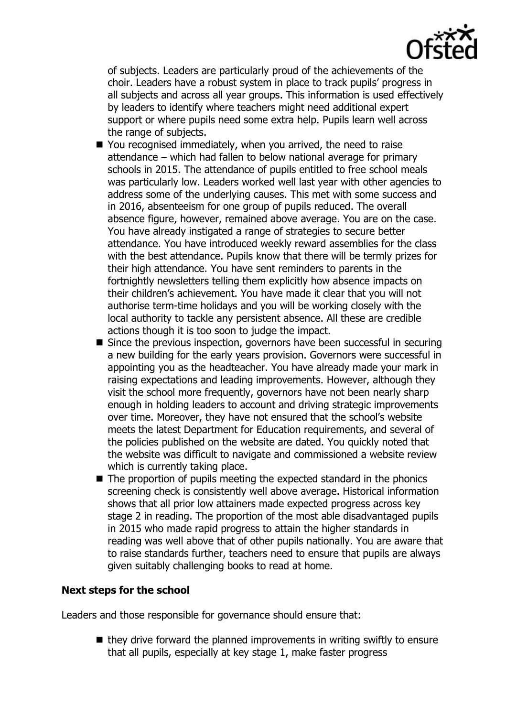

of subjects. Leaders are particularly proud of the achievements of the choir. Leaders have a robust system in place to track pupils' progress in all subjects and across all year groups. This information is used effectively by leaders to identify where teachers might need additional expert support or where pupils need some extra help. Pupils learn well across the range of subjects.

- You recognised immediately, when you arrived, the need to raise attendance – which had fallen to below national average for primary schools in 2015. The attendance of pupils entitled to free school meals was particularly low. Leaders worked well last year with other agencies to address some of the underlying causes. This met with some success and in 2016, absenteeism for one group of pupils reduced. The overall absence figure, however, remained above average. You are on the case. You have already instigated a range of strategies to secure better attendance. You have introduced weekly reward assemblies for the class with the best attendance. Pupils know that there will be termly prizes for their high attendance. You have sent reminders to parents in the fortnightly newsletters telling them explicitly how absence impacts on their children's achievement. You have made it clear that you will not authorise term-time holidays and you will be working closely with the local authority to tackle any persistent absence. All these are credible actions though it is too soon to judge the impact.
- Since the previous inspection, governors have been successful in securing a new building for the early years provision. Governors were successful in appointing you as the headteacher. You have already made your mark in raising expectations and leading improvements. However, although they visit the school more frequently, governors have not been nearly sharp enough in holding leaders to account and driving strategic improvements over time. Moreover, they have not ensured that the school's website meets the latest Department for Education requirements, and several of the policies published on the website are dated. You quickly noted that the website was difficult to navigate and commissioned a website review which is currently taking place.
- The proportion of pupils meeting the expected standard in the phonics screening check is consistently well above average. Historical information shows that all prior low attainers made expected progress across key stage 2 in reading. The proportion of the most able disadvantaged pupils in 2015 who made rapid progress to attain the higher standards in reading was well above that of other pupils nationally. You are aware that to raise standards further, teachers need to ensure that pupils are always given suitably challenging books to read at home.

#### **Next steps for the school**

Leaders and those responsible for governance should ensure that:

 $\blacksquare$  they drive forward the planned improvements in writing swiftly to ensure that all pupils, especially at key stage 1, make faster progress